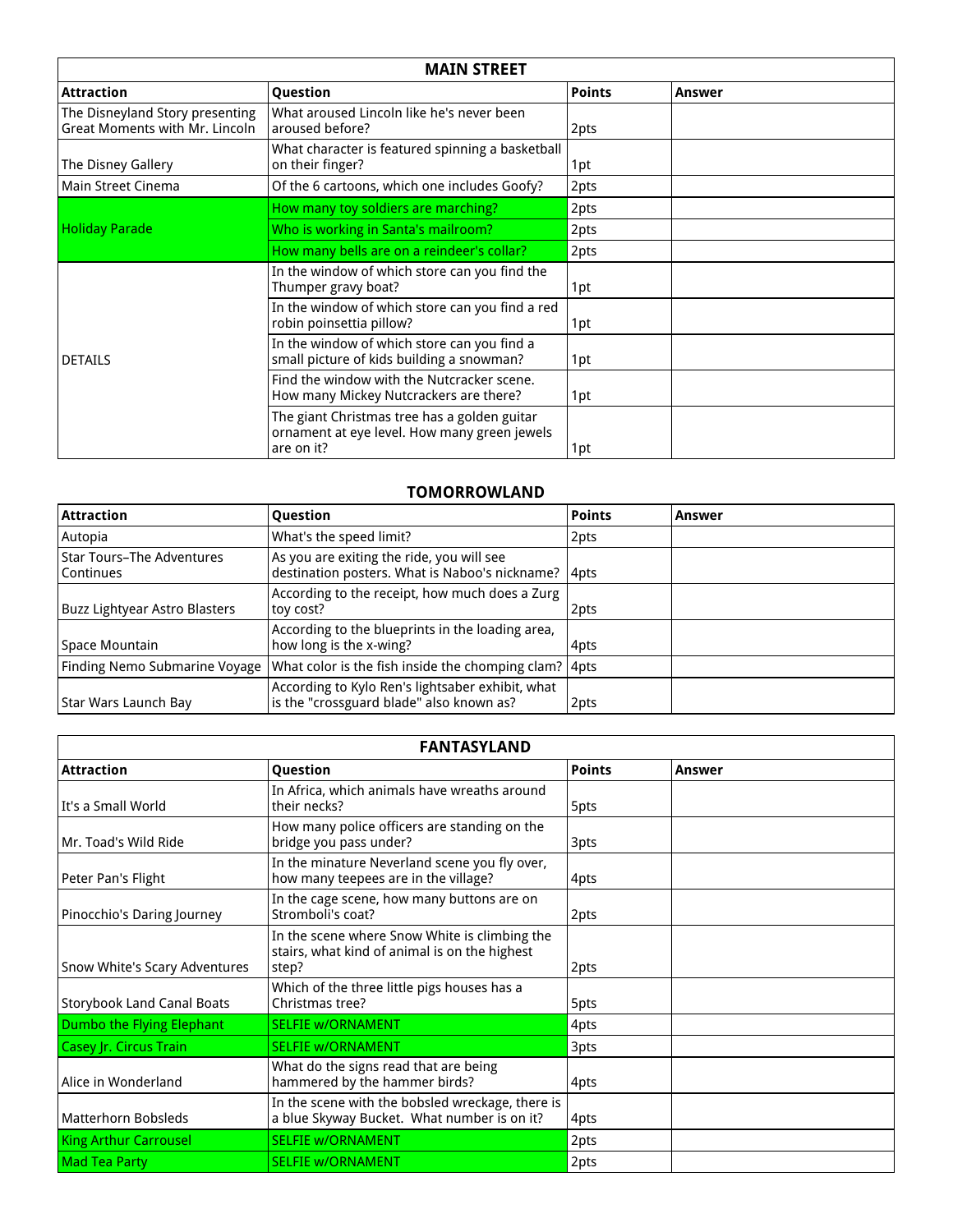| <b>MAIN STREET</b>                                                       |                                                                                                            |               |        |  |
|--------------------------------------------------------------------------|------------------------------------------------------------------------------------------------------------|---------------|--------|--|
| <b>Attraction</b>                                                        | Question                                                                                                   | <b>Points</b> | Answer |  |
| The Disneyland Story presenting<br><b>Great Moments with Mr. Lincoln</b> | What aroused Lincoln like he's never been<br>aroused before?                                               | 2pts          |        |  |
| The Disney Gallery                                                       | What character is featured spinning a basketball<br>on their finger?                                       | 1pt           |        |  |
| <b>Main Street Cinema</b>                                                | Of the 6 cartoons, which one includes Goofy?                                                               | 2pts          |        |  |
|                                                                          | How many toy soldiers are marching?                                                                        | 2pts          |        |  |
| Holiday Parade                                                           | Who is working in Santa's mailroom?                                                                        | 2pts          |        |  |
|                                                                          | How many bells are on a reindeer's collar?                                                                 | 2pts          |        |  |
|                                                                          | In the window of which store can you find the<br>Thumper gravy boat?                                       | 1pt           |        |  |
|                                                                          | In the window of which store can you find a red<br>robin poinsettia pillow?                                | 1pt           |        |  |
| <b>DETAILS</b>                                                           | In the window of which store can you find a<br>small picture of kids building a snowman?                   | 1pt           |        |  |
|                                                                          | Find the window with the Nutcracker scene.<br>How many Mickey Nutcrackers are there?                       | 1pt           |        |  |
|                                                                          | The giant Christmas tree has a golden guitar<br>ornament at eye level. How many green jewels<br>are on it? | 1pt           |        |  |

## **TOMORROWLAND**

| <b>Attraction</b>                             | <b>Question</b>                                                                                  | <b>Points</b> | Answer |
|-----------------------------------------------|--------------------------------------------------------------------------------------------------|---------------|--------|
| Autopia                                       | What's the speed limit?                                                                          | 2pts          |        |
| <b>Star Tours-The Adventures</b><br>Continues | As you are exiting the ride, you will see<br>destination posters. What is Naboo's nickname? 4pts |               |        |
| <b>Buzz Lightyear Astro Blasters</b>          | According to the receipt, how much does a Zurg<br>toy cost?                                      | 2pts          |        |
| Space Mountain                                | According to the blueprints in the loading area,<br>how long is the x-wing?                      | 4pts          |        |
|                                               | Finding Nemo Submarine Voyage   What color is the fish inside the chomping clam?   4pts          |               |        |
| Star Wars Launch Bay                          | According to Kylo Ren's lightsaber exhibit, what<br>is the "crossguard blade" also known as?     | 2pts          |        |

| <b>FANTASYLAND</b>                |                                                                                                         |               |        |  |
|-----------------------------------|---------------------------------------------------------------------------------------------------------|---------------|--------|--|
| <b>Attraction</b>                 | Question                                                                                                | <b>Points</b> | Answer |  |
| l It's a Small World              | In Africa, which animals have wreaths around<br>their necks?                                            | 5pts          |        |  |
| Mr. Toad's Wild Ride              | How many police officers are standing on the<br>bridge you pass under?                                  | 3pts          |        |  |
| Peter Pan's Flight                | In the minature Neverland scene you fly over,<br>how many teepees are in the village?                   | 4pts          |        |  |
| Pinocchio's Daring Journey        | In the cage scene, how many buttons are on<br>Stromboli's coat?                                         | 2pts          |        |  |
| Snow White's Scary Adventures     | In the scene where Snow White is climbing the<br>stairs, what kind of animal is on the highest<br>step? | 2pts          |        |  |
| <b>Storybook Land Canal Boats</b> | Which of the three little pigs houses has a<br>Christmas tree?                                          | 5pts          |        |  |
| Dumbo the Flying Elephant         | <b>SELFIE W/ORNAMENT</b>                                                                                | 4pts          |        |  |
| Casey Jr. Circus Train            | <b>SELFIE W/ORNAMENT</b>                                                                                | 3pts          |        |  |
| Alice in Wonderland               | What do the signs read that are being<br>hammered by the hammer birds?                                  | 4pts          |        |  |
| <b>Matterhorn Bobsleds</b>        | In the scene with the bobsled wreckage, there is<br>a blue Skyway Bucket. What number is on it?         | 4pts          |        |  |
| <b>King Arthur Carrousel</b>      | <b>SELFIE W/ORNAMENT</b>                                                                                | 2pts          |        |  |
| <b>Mad Tea Party</b>              | <b>SELFIE W/ORNAMENT</b>                                                                                | 2pts          |        |  |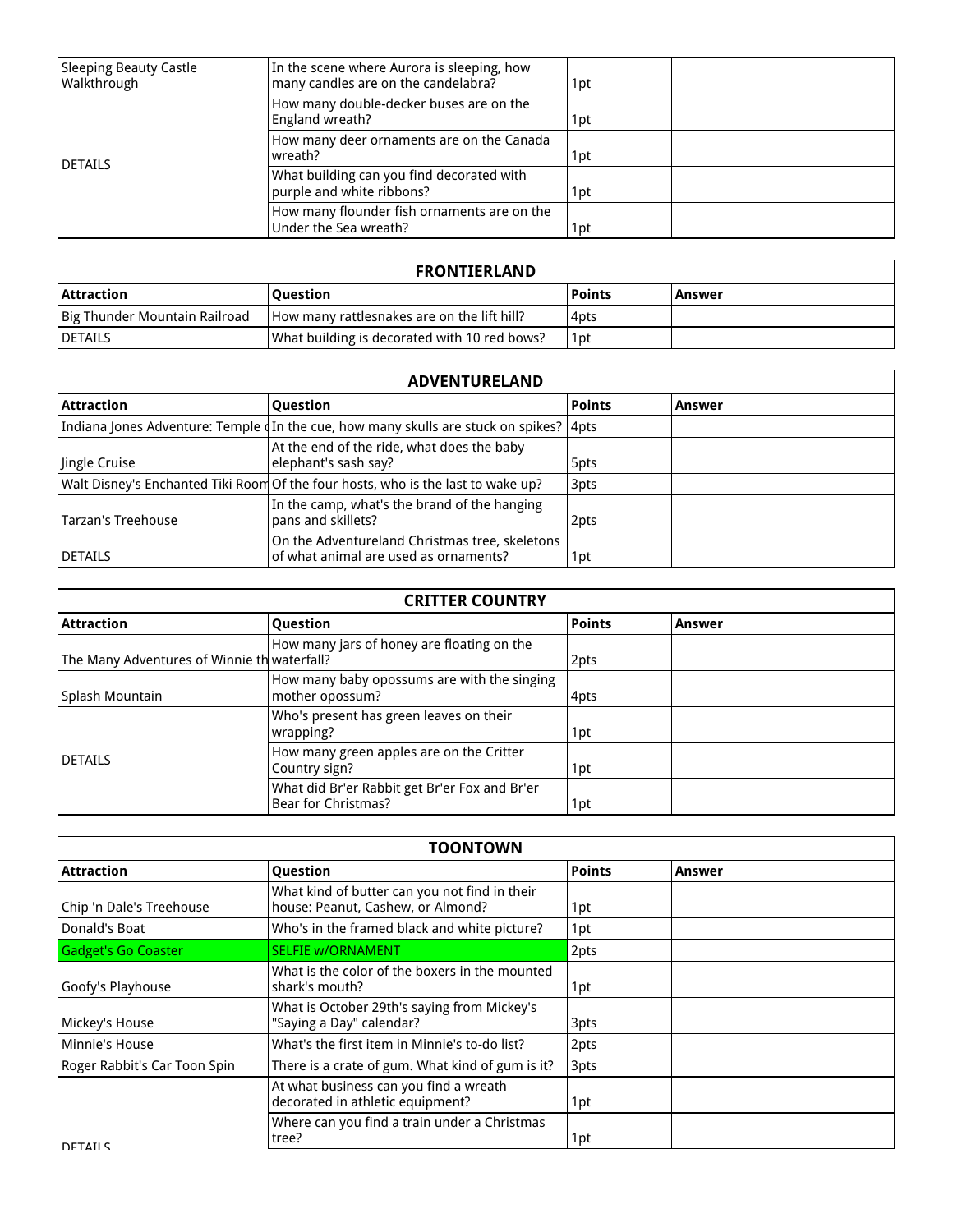| Sleeping Beauty Castle<br>Walkthrough | In the scene where Aurora is sleeping, how<br>many candles are on the candelabra? | 1pt |
|---------------------------------------|-----------------------------------------------------------------------------------|-----|
|                                       | How many double-decker buses are on the<br>England wreath?                        | 1pt |
| <b>IDETAILS</b>                       | How many deer ornaments are on the Canada<br>wreath?                              | 1pt |
|                                       | What building can you find decorated with<br>purple and white ribbons?            | 1pt |
|                                       | How many flounder fish ornaments are on the<br>Under the Sea wreath?              | 1pt |

| <b>FRONTIERLAND</b>           |                                              |        |          |
|-------------------------------|----------------------------------------------|--------|----------|
| <b>Attraction</b>             | l Ouestion                                   | Points | l Answer |
| Big Thunder Mountain Railroad | How many rattlesnakes are on the lift hill?  | l 4pts |          |
| <b>IDETAILS</b>               | What building is decorated with 10 red bows? | 1pt    |          |

| <b>ADVENTURELAND</b> |                                                                                          |               |        |  |
|----------------------|------------------------------------------------------------------------------------------|---------------|--------|--|
| Attraction           | Question                                                                                 | <b>Points</b> | Answer |  |
|                      | Indiana Jones Adventure: Temple (In the cue, how many skulls are stuck on spikes?   4pts |               |        |  |
| Jingle Cruise        | At the end of the ride, what does the baby<br>elephant's sash say?                       | 5pts          |        |  |
|                      | Walt Disney's Enchanted Tiki Room Of the four hosts, who is the last to wake up?         | 3pts          |        |  |
| Tarzan's Treehouse   | In the camp, what's the brand of the hanging<br>pans and skillets?                       | 2pts          |        |  |
| <b>DETAILS</b>       | On the Adventureland Christmas tree, skeletons<br>of what animal are used as ornaments?  | 1pt           |        |  |

| <b>CRITTER COUNTRY</b>                      |                                                                      |               |        |  |
|---------------------------------------------|----------------------------------------------------------------------|---------------|--------|--|
| <b>Attraction</b>                           | Question                                                             | <b>Points</b> | Answer |  |
| The Many Adventures of Winnie th waterfall? | How many jars of honey are floating on the                           | 2pts          |        |  |
| Splash Mountain                             | How many baby opossums are with the singing<br>mother opossum?       | 4pts          |        |  |
|                                             | Who's present has green leaves on their<br>wrapping?                 | 1pt           |        |  |
| <b>DETAILS</b>                              | How many green apples are on the Critter<br>Country sign?            | 1pt           |        |  |
|                                             | What did Br'er Rabbit get Br'er Fox and Br'er<br>Bear for Christmas? | 1pt           |        |  |

| <b>TOONTOWN</b>              |                                                                                    |               |        |
|------------------------------|------------------------------------------------------------------------------------|---------------|--------|
| <b>Attraction</b>            | <b>Question</b>                                                                    | <b>Points</b> | Answer |
| Chip 'n Dale's Treehouse     | What kind of butter can you not find in their<br>house: Peanut, Cashew, or Almond? | 1pt           |        |
| Donald's Boat                | Who's in the framed black and white picture?                                       | 1pt           |        |
| <b>Gadget's Go Coaster</b>   | <b>SELFIE W/ORNAMENT</b>                                                           | 2pts          |        |
| Goofy's Playhouse            | What is the color of the boxers in the mounted<br>shark's mouth?                   | 1pt           |        |
| Mickey's House               | What is October 29th's saying from Mickey's<br>"Saying a Day" calendar?            | 3pts          |        |
| Minnie's House               | What's the first item in Minnie's to-do list?                                      | 2pts          |        |
| Roger Rabbit's Car Toon Spin | There is a crate of gum. What kind of gum is it?                                   | 3pts          |        |
|                              | At what business can you find a wreath<br>decorated in athletic equipment?         | 1pt           |        |
| I DETAII S                   | Where can you find a train under a Christmas<br>tree?                              | 1pt           |        |